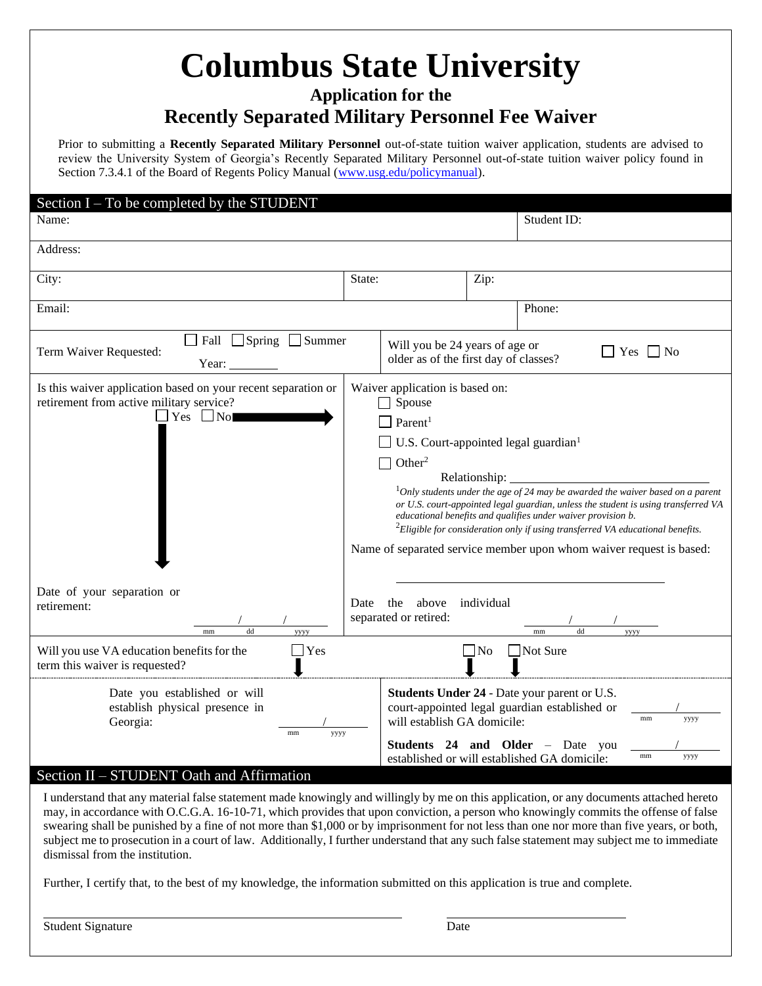# **Columbus State University**

**Application for the**

### **Recently Separated Military Personnel Fee Waiver**

Prior to submitting a **Recently Separated Military Personnel** out-of-state tuition waiver application, students are advised to review the University System of Georgia's Recently Separated Military Personnel out-of-state tuition waiver policy found in Section 7.3.4.1 of the Board of Regents Policy Manual [\(www.usg.edu/policymanual\)](http://www.usg.edu/policymanual).

| Section $I - To$ be completed by the STUDENT<br>Name:                                                                                 |                                                                                                                                                                                                                                                                                                                                                                                                                                                                                                                                                                         |                                                      | Student ID: |                                                                                                                              |
|---------------------------------------------------------------------------------------------------------------------------------------|-------------------------------------------------------------------------------------------------------------------------------------------------------------------------------------------------------------------------------------------------------------------------------------------------------------------------------------------------------------------------------------------------------------------------------------------------------------------------------------------------------------------------------------------------------------------------|------------------------------------------------------|-------------|------------------------------------------------------------------------------------------------------------------------------|
|                                                                                                                                       |                                                                                                                                                                                                                                                                                                                                                                                                                                                                                                                                                                         |                                                      |             |                                                                                                                              |
| Address:                                                                                                                              |                                                                                                                                                                                                                                                                                                                                                                                                                                                                                                                                                                         |                                                      |             |                                                                                                                              |
| City:                                                                                                                                 | State:                                                                                                                                                                                                                                                                                                                                                                                                                                                                                                                                                                  |                                                      | Zip:        |                                                                                                                              |
| Email:                                                                                                                                |                                                                                                                                                                                                                                                                                                                                                                                                                                                                                                                                                                         |                                                      |             | Phone:                                                                                                                       |
| $\Box$ Spring<br>$\Box$ Summer<br>$\Box$ Fall<br>Term Waiver Requested:<br>Year:                                                      | Will you be 24 years of age or<br>older as of the first day of classes?                                                                                                                                                                                                                                                                                                                                                                                                                                                                                                 |                                                      |             | Yes<br>$\blacksquare$ No                                                                                                     |
| Is this waiver application based on your recent separation or<br>retirement from active military service?<br>Yes<br>Nol               | Waiver application is based on:<br>Spouse<br>Parent <sup>1</sup><br>U.S. Court-appointed legal guardian <sup>1</sup><br>Other <sup>2</sup><br>Relationship:<br>$1$ Only students under the age of 24 may be awarded the waiver based on a parent<br>or U.S. court-appointed legal guardian, unless the student is using transferred VA<br>educational benefits and qualifies under waiver provision b.<br>${}^{2}$ Eligible for consideration only if using transferred VA educational benefits.<br>Name of separated service member upon whom waiver request is based: |                                                      |             |                                                                                                                              |
| Date of your separation or<br>retirement:<br>dd<br>yyyy<br>mm<br>$\exists$ Yes<br>Will you use VA education benefits for the          | the<br>above<br>individual<br>Date<br>separated or retired:<br>$\Box$ No                                                                                                                                                                                                                                                                                                                                                                                                                                                                                                |                                                      |             | mm<br>dd<br>yyyy<br>Not Sure                                                                                                 |
| term this waiver is requested?                                                                                                        |                                                                                                                                                                                                                                                                                                                                                                                                                                                                                                                                                                         |                                                      |             |                                                                                                                              |
| Date you established or will<br>establish physical presence in<br>Georgia:<br>mm<br>уууу<br>Section II – STUDENT Oath and Affirmation |                                                                                                                                                                                                                                                                                                                                                                                                                                                                                                                                                                         | will establish GA domicile:<br>Students 24 and Older |             | Students Under 24 - Date your parent or U.S.<br>court-appointed legal guardian established or<br>mm<br>уууу<br>- Date<br>you |
|                                                                                                                                       |                                                                                                                                                                                                                                                                                                                                                                                                                                                                                                                                                                         |                                                      |             | mm<br>уууу<br>established or will established GA domicile:                                                                   |

I understand that any material false statement made knowingly and willingly by me on this application, or any documents attached hereto may, in accordance with O.C.G.A. 16-10-71, which provides that upon conviction, a person who knowingly commits the offense of false swearing shall be punished by a fine of not more than \$1,000 or by imprisonment for not less than one nor more than five years, or both, subject me to prosecution in a court of law. Additionally, I further understand that any such false statement may subject me to immediate dismissal from the institution.

Further, I certify that, to the best of my knowledge, the information submitted on this application is true and complete.

Student Signature Date